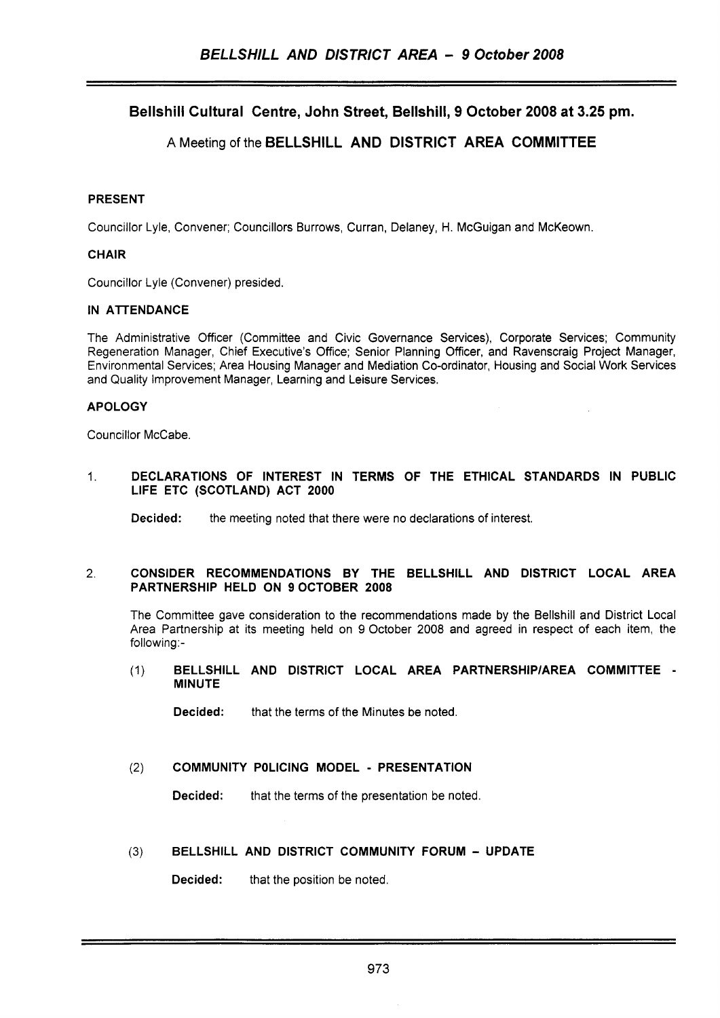Bellshill Cultural Centre, John Street, Bellshill, 9 October 2008 at 3.25 pm.

# A Meeting of the BELLSHILL AND DISTRICT AREA COMMITTEE

# PRESENT

Councillor Lyle, Convener; Councillors Burrows, Curran, Delaney, H. McGuigan and McKeown.

# **CHAIR**

Councillor Lyle (Convener) presided.

# IN ATTENDANCE

The Administrative Officer (Committee and Civic Governance Services), Corporate Services; Community Regeneration Manager, Chief Executive's Office; Senior Planning Officer, and Ravenscraig Project Manager, Environmental Services; Area Housing Manager and Mediation Co-ordinator, Housing and Social Work Services and Quality Improvement Manager, Learning and Leisure Services.

# APOLOGY

Councillor McCabe.

#### 1. DECLARATIONS OF INTEREST IN TERMS OF THE ETHICAL STANDARDS IN PUBLIC LIFE ETC (SCOTLAND) ACT 2000

Decided: the meeting noted that there were no declarations of interest.

#### 2. CONSIDER RECOMMENDATIONS BY THE BELLSHILL AND DISTRICT LOCAL AREA PARTNERSHIP HELD ON 9OCTOBER 2008

The Committee gave consideration to the recommendations made by the Bellshill and District Local Area Partnership at its meeting held on 9 October 2008 and agreed in respect of each item, the following:-

(1) BELLSHILL AND DISTRICT LOCAL AREA PARTNERSHIP/AREA COMMITTEE - MINUTE

Decided: that the terms of the Minutes be noted.

### (2) COMMUNITY POLICING MODEL - PRESENTATION

Decided: that the terms of the presentation be noted.

### (3) BELLSHILL AND DISTRICT COMMUNITY FORUM - UPDATE

Decided: that the position be noted.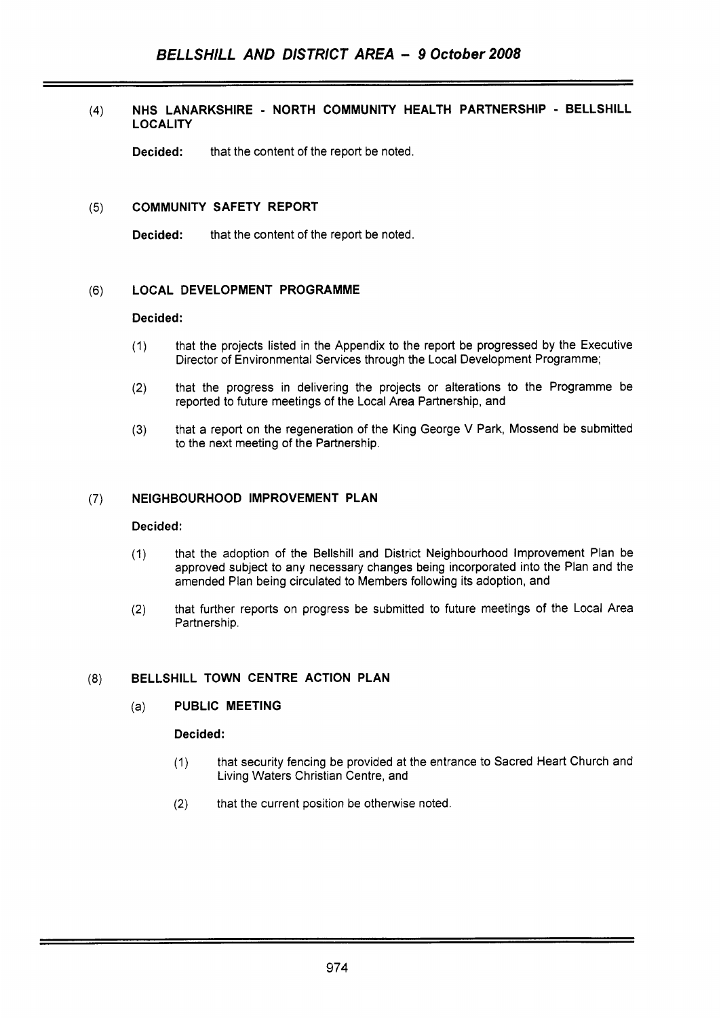### **(4) NHS LANARKSHIRE** - **NORTH COMMUNITY HEALTH PARTNERSHIP** - **BELLSHILL LOCALITY**

**Decided:** that the content of the report be noted.

#### (5) **COMMUNITY SAFETY REPORT**

**Decided:** that the content of the report be noted.

#### (6) **LOCAL DEVELOPMENT PROGRAMME**

### **Decided** :

- (1) that the projects listed in the Appendix to the report be progressed by the Executive Director of Environmental Services through the Local Development Programme;
- (2) that the progress in delivering the projects or alterations to the Programme be reported to future meetings of the Local Area Partnership, and
- **(3)** that a report on the regeneration of the King George V Park, Mossend be submitted to the next meeting of the Partnership.

### (7) **NEIGHBOURHOOD IMPROVEMENT PLAN**

#### **Decided:**

- (1) that the adoption of the Bellshill and District Neighbourhood Improvement Plan be approved subject to any necessary changes being incorporated into the Plan and the amended Plan being circulated to Members following its adoption, and
- that further reports on progress be submitted to future meetings of the Local Area (2) that further<br>Partnership.

# (8) **BELLSHILL TOWN CENTRE ACTION PLAN**

#### (a) **PUBLIC MEETING**

#### **Decided:**

- (1) that security fencing be provided at the entrance to Sacred Heart Church and Living Waters Christian Centre, and
- (2) that the current position be otherwise noted.